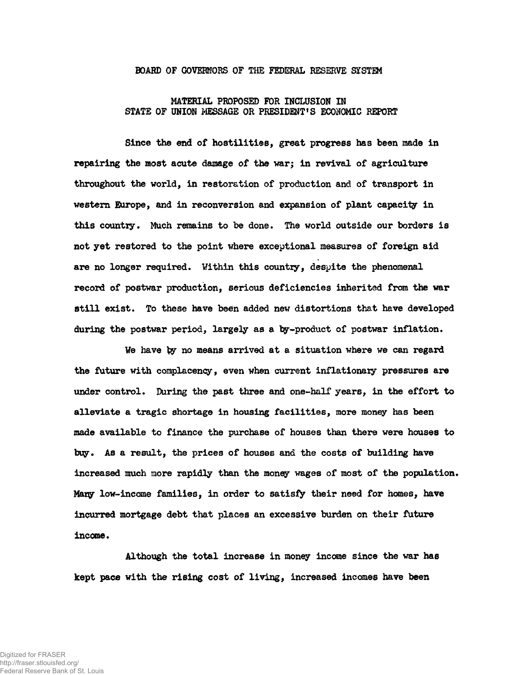## **BOARD OF GOVERNORS OF THE FEDERAL RESERVE SISTEM**

## **MATERIAL PROPOSED FOR INCLUSION IN STATE OF UNION MESSAGE OR PRESIDENT'S ECONOMIC REPORT**

**Since the end of hostilities, great progress has been made in repairing the most acute damage of the warj in revival of agriculture throughout the world, in restoration of production and of transport in western Europe, and in reconversion and expansion of plant capacity in this country. Much remains to be done. The world outside our borders is not yet restored to the point where exceptional measures of foreign aid are no longer required. Within this country, despite the phenomenal record of postwar production, serious deficiencies inherited from the war still exist. To these have been added new distortions that have developed** during the postwar period, largely as a by-product of postwar inflation.

We have by no means arrived at a situation where we can regard **the future with complacency, even when current inflationary pressures are tinder control. During the past three and one-half years, in the effort to alleviate a tragic shortage in housing facilities, more money has been made available to finance the purchase of houses than there were houses to buy. As a result, the prices of houses and the costs of building have increased much more rapidly than the money wages of most of the population. Mary low-income families, in order to satisfy their need for homes, have incurred mortgage debt that places an excessive burden on their future income.**

**Although the total increase in money income since the war has kept pace with the rising cost of living, increased incomes have been**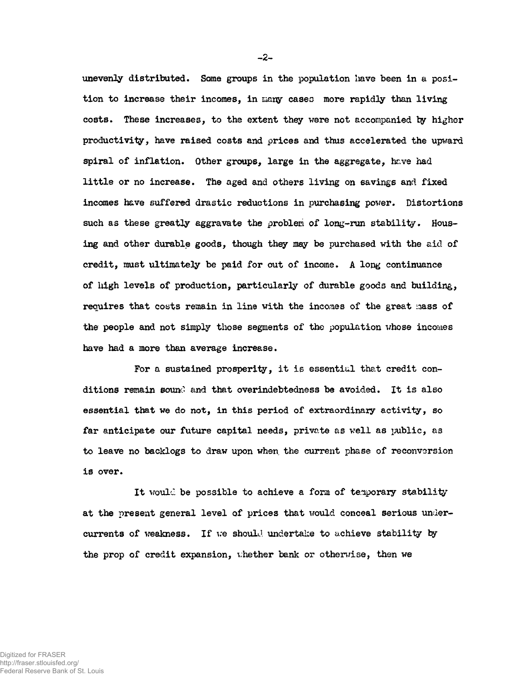unevenly distributed. Some groups in the population have been in a position to increase their incomes, in many cases more rapidly than living costs. These increases, to the extent they were not accompanied by higher productivity, have raised costs and prices and thus accelerated the upward spiral of inflation. Other groups, large in the aggregate, have had little or no increase. The aged and others living on savings and fixed incomes have suffered drastic reductions in purchasing power. Distortions such as these greatly aggravate the problem of long-run stability. Housing and other durable goods, though they may be purchased with the aid of credit, must ultimately be paid for out of income. A lopg continuance of high levels of production, particularly of durable goods and building, requires that costs remain in line with the incomes of the great mass of the people and not simply those segments of the population whose incomes have had a more than average increase.

For a sustained prosperity, it is essential that credit conditions remain sound and that overindebtedness be avoided. It is also essential that we do not, in this period of extraordinary activity, so far anticipate our future capital needs, private as well as public, as to leave no backlogs to draw upon when the current phase of reconversion is over.

It would be possible to achieve a form of temporary stability at the present general level of prices that would conceal serious undercurrents of weakness. If we should undertake to achieve stability by the prop of credit expansion, vhether bank or otherwise, then we

 $-2-$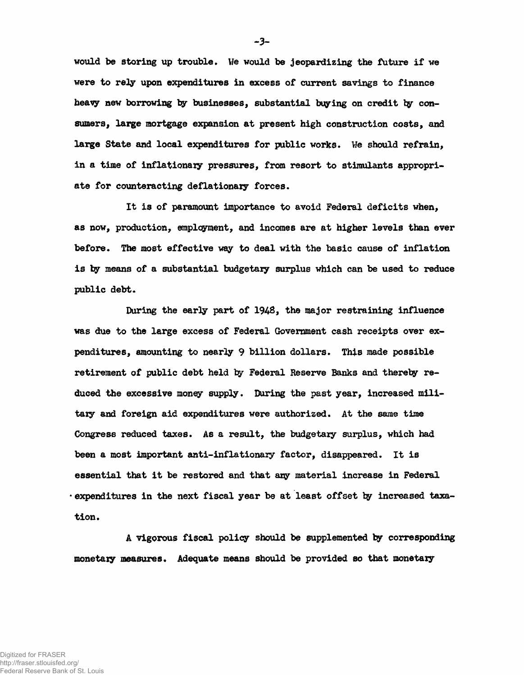**would be storing up trouble\* We would be jeopardizing the future if we were to rely upon expenditures in excess of current savings to finance** heavy new borrowing by businesses, substantial buying on credit by consumers, large mortgage expansion at present high construction costs, and large State and local expenditures for public works. We should refrain, **in a time of inflationazy pressures, from resort to stimulants appropri**ate for counteracting deflationary forces.

**It is of paramount importance to avoid Federal deficits when, as now, production, employment, and incomes are at higher levels than ever before. The most effective way to deal with the basic cause of inflation is by means of a substantial budgetary surplus which can be used to reduce** public debt.

**During the early part of 194B, the major restraining influence was due to the large excess of Federal Government cash receipts over expenditures, amounting to nearly 9 billion dollars. This made possible retirement of public debt held by Federal Reserve Banks and thereby reduced the excessive money supply. During the past year, increased military and foreign aid expenditures were authorised. At the same time Congress reduced taxes. As a result, the budgetary surplus, which had** been a most important anti-inflationary factor, disappeared. It is **essential that it be restored and that acy material increase in Federal <sup>1</sup> expenditures in the next fiscal year be at least offset toy increased taxa**tion.

**A vigorous fiscal policy should be supplemented by corresponding monetary measures« Adequate means should be provided so that monetary**

 $-3-$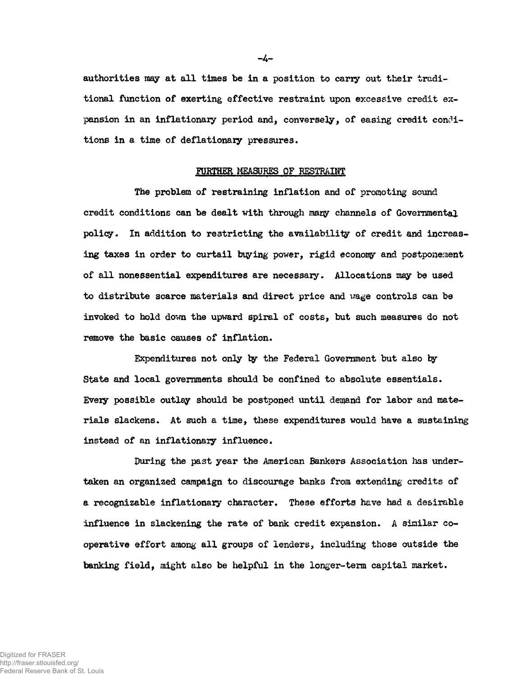**authorities may at all times be in a position to carry out their traditional function of exerting effective restraint upon excessive credit expansion in an inflationary period and, conversely, of easing credit conditions in a time of deflationary pressures.**

## **FURTHER MEASURES OF RESTRAINT**

**The problem of restraining inflation and of promoting sound credit conditions can be dealt with through mary channels of Governmental policy. In addition to restricting the availability of credit and increas**ing taxes in order to curtail buying power, rigid economy and postponement **of all nonessential expenditures are necessary. Allocations may be used to distribute scarce materials and direct price and wage controls can be invoked to hold down the upward spiral of costs, but such measures do not remove the basic causes of inflation.**

**Expenditures not only ty the Federal Government but also ty State and local governments should be confined to absolute essentials. Every possible outlay should be postponed until demand for labor and materials slackens. At such a time, these expenditures would have a sustaining instead of an inflationary influence.**

**During the past year the American Bankers Association has undertaken an organized campaign to discourage banks from extending credits of a recognizable inflationary character. These efforts have had a desirable influence in slackening the rate of bank credit expansion. A similar cooperative effort among all groups of lenders, including those outside the banking field, might also be helpful in the longer-term capital market.**

-4-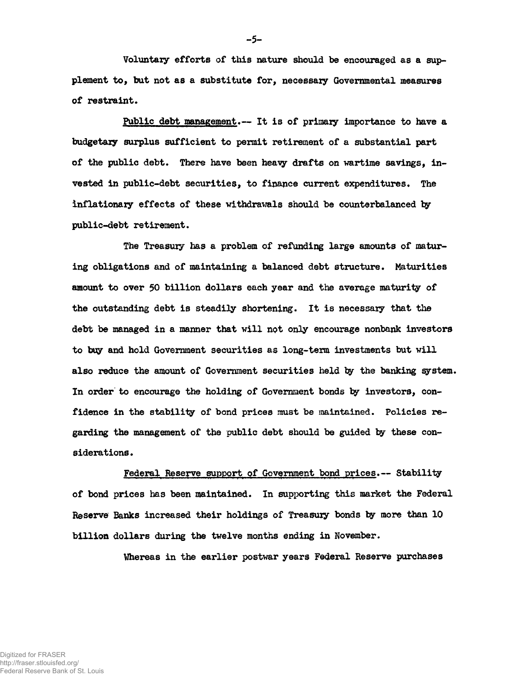**Voluntary efforts of this nature should be encouraged as a supplement to, but not as a substitute for, necessary Governmental measures of restraint.**

**Public debt management.— It is of primary importance to have a budgetary surplus sufficient to permit retirement of a substantial part of the public debt. There have been heavy drafts on wartime savings, invested in public-debt securities, to finance current expenditures. The inflationary effects of these withdrawals should be counterbalanced ty public-debt retirement.**

**The Treasury has a problem of refunding large amounts of maturing obligations and of maintaining a balanced debt structure. Maturities amount to over 50 billion dollars each year and the average maturity of the outstanding debt is steadily shortening. It is necessary that the debt be managed in a manner that will not only encourage nonbank investors to buy and hold Government securities as long-term investments but will also reduce the amount of Government securities held ty the banking system. In order to encourage the holding of Government bonds ty investors, confidence in the stability of bond prices must be maintained. Policies regarding the management of the public debt should be guided by these considerations •**

**Federal Reserve support of Government bond prices.— Stability of bond prices has been maintained. In supporting this market the Federal Reserve Banks increased their holdings of Treasury bonds ty more than 10 billion dollars during the twelve months ending in November.**

**VJhereas in the earlier postwar years Federal Reserve purchases**

**-5-**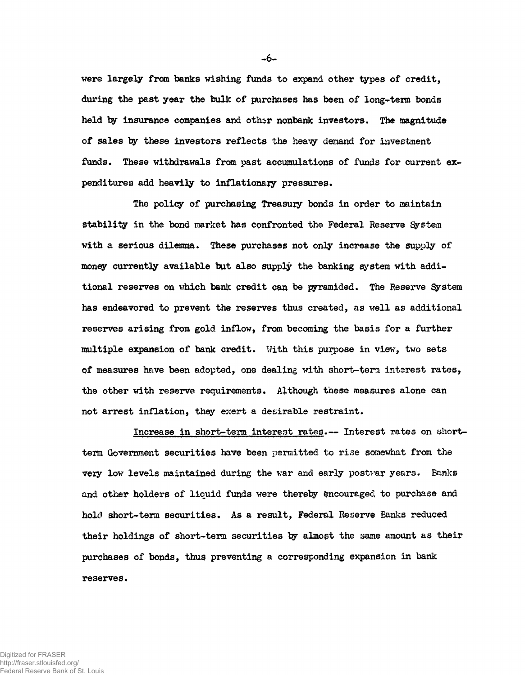**were largely from banks wishing funds to expand other types of credit, during the past year the bulk of purchases has been of long-term bonds held by insurance companies and othsr nonbank investors. The magnitude of sales by these investors reflects the hea^y demand for investment funds. These withdrawals from past accumulations of funds for current ex**penditures add heavily to inflationary pressures.

**The policy of purchasing Treasury bonds in order to maintain stability in the bond market has confronted the Federal Reserve System** with a serious dilemma. These purchases not only increase the supply of **money currently available but also supply the banking system with additional reserves on which bank credit can be pyramided. The Reserve System has endeavored to prevent the reserves thus created, as well as additional reserves arising from gold inflow, from becoming the basis for a further multiple expansion of bank credit. With this purpose in view, two sets of measures have been adopted, one dealing with short-tera interest rates, the other with reserve requirements. Although these measures alone can not arrest inflation, they exert a desirable restraint.**

**Increase in short-term interest rates.— Interest rates on shortterm Government securities have been permitted to rise somewhat from the vezy low levels maintained during the war and early postvar years. Banks** and other holders of liquid funds were thereby encouraged to purchase and **hold short-term securities. As a result, Federal Reserve Banks reduced their holdings of short-term securities by almost the same amount as their purchases of bonds, thus preventing a corresponding expansion in bank reserves.**

Digitized for FRASER http://fraser.stlouisfed.org/

Federal Reserve Bank of St. Louis

**-6-**